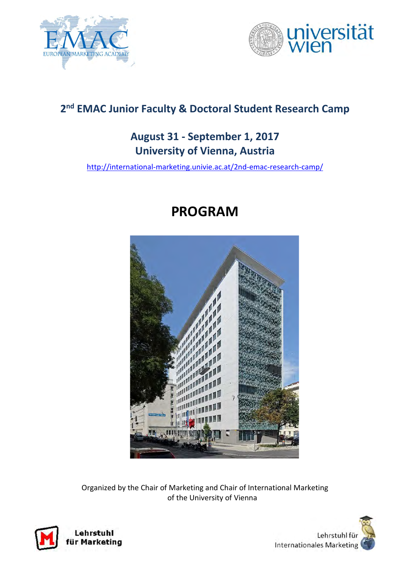



# **2nd EMAC Junior Faculty & Doctoral Student Research Camp**

# **August 31 - September 1, 2017 University of Vienna, Austria**

<http://international-marketing.univie.ac.at/2nd-emac-research-camp/>

# **PROGRAM**



Organized by the Chair of Marketing and Chair of International Marketing of the University of Vienna



Lehrstuhl für **Internationales Marketing**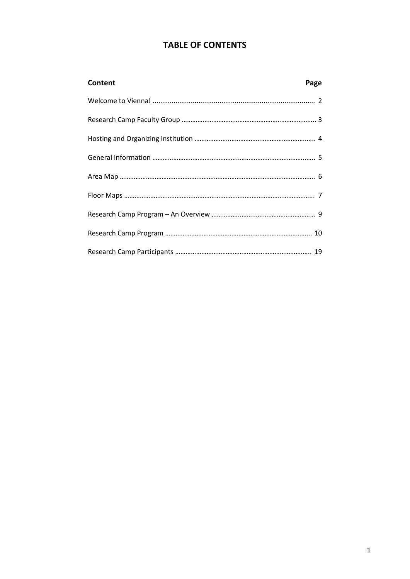# **TABLE OF CONTENTS**

| Content | Page |
|---------|------|
|         |      |
|         |      |
|         |      |
|         |      |
|         |      |
|         |      |
|         |      |
|         |      |
|         |      |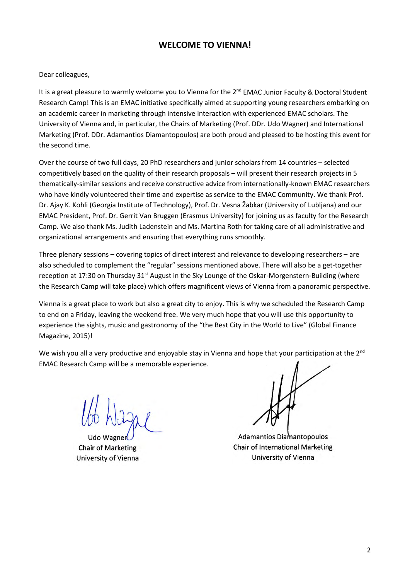## **WELCOME TO VIENNA!**

#### Dear colleagues,

It is a great pleasure to warmly welcome you to Vienna for the 2<sup>nd</sup> EMAC Junior Faculty & Doctoral Student Research Camp! This is an EMAC initiative specifically aimed at supporting young researchers embarking on an academic career in marketing through intensive interaction with experienced EMAC scholars. The University of Vienna and, in particular, the Chairs of Marketing (Prof. DDr. Udo Wagner) and International Marketing (Prof. DDr. Adamantios Diamantopoulos) are both proud and pleased to be hosting this event for the second time.

Over the course of two full days, 20 PhD researchers and junior scholars from 14 countries – selected competitively based on the quality of their research proposals – will present their research projects in 5 thematically-similar sessions and receive constructive advice from internationally-known EMAC researchers who have kindly volunteered their time and expertise as service to the EMAC Community. We thank Prof. Dr. Ajay K. Kohli (Georgia Institute of Technology), Prof. Dr. Vesna Žabkar (University of Lubljana) and our EMAC President, Prof. Dr. Gerrit Van Bruggen (Erasmus University) for joining us as faculty for the Research Camp. We also thank Ms. Judith Ladenstein and Ms. Martina Roth for taking care of all administrative and organizational arrangements and ensuring that everything runs smoothly.

Three plenary sessions – covering topics of direct interest and relevance to developing researchers – are also scheduled to complement the "regular" sessions mentioned above. There will also be a get-together reception at 17:30 on Thursday 31<sup>st</sup> August in the Sky Lounge of the Oskar-Morgenstern-Building (where the Research Camp will take place) which offers magnificent views of Vienna from a panoramic perspective.

Vienna is a great place to work but also a great city to enjoy. This is why we scheduled the Research Camp to end on a Friday, leaving the weekend free. We very much hope that you will use this opportunity to experience the sights, music and gastronomy of the "the Best City in the World to Live" (Global Finance Magazine, 2015)!

We wish you all a very productive and enjoyable stay in Vienna and hope that your participation at the 2<sup>nd</sup> EMAC Research Camp will be a memorable experience.

**Chair of Marketing University of Vienna** 

**Adamantios Diamantopoulos Chair of International Marketing University of Vienna**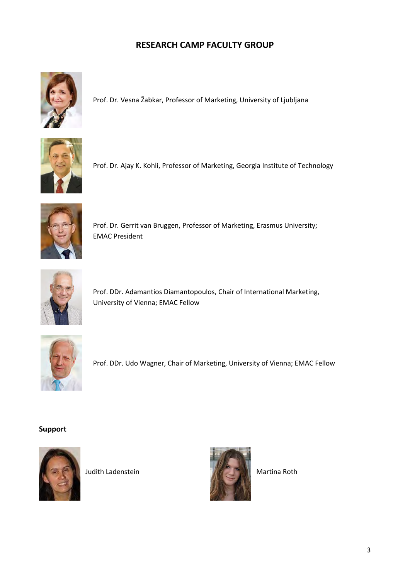# **RESEARCH CAMP FACULTY GROUP**



Prof. Dr. Vesna Žabkar, Professor of Marketing, University of Ljubljana



Prof. Dr. Ajay K. Kohli, Professor of Marketing, Georgia Institute of Technology



Prof. Dr. Gerrit van Bruggen, Professor of Marketing, Erasmus University; EMAC President



Prof. DDr. Adamantios Diamantopoulos, Chair of International Marketing, University of Vienna; EMAC Fellow



Prof. DDr. Udo Wagner, Chair of Marketing, University of Vienna; EMAC Fellow

#### **Support**



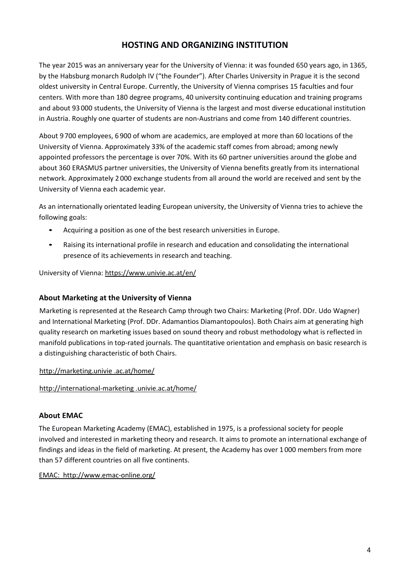## **HOSTING AND ORGANIZING INSTITUTION**

The year 2015 was an anniversary year for the University of Vienna: it was founded 650 years ago, in 1365, by the Habsburg monarch Rudolph IV ("the Founder"). After Charles University in Prague it is the second oldest university in Central Europe. Currently, the University of Vienna comprises 15 faculties and four centers. With more than 180 degree programs, 40 university continuing education and training programs and about 93 000 students, the University of Vienna is the largest and most diverse educational institution in Austria. Roughly one quarter of students are non-Austrians and come from 140 different countries.

About 9700 employees, 6 900 of whom are academics, are employed at more than 60 locations of the University of Vienna. Approximately 33% of the academic staff comes from abroad; among newly appointed professors the percentage is over 70%. With its 60 partner universities around the globe and about 360 ERASMUS partner universities, the University of Vienna benefits greatly from its international network. Approximately 2 000 exchange students from all around the world are received and sent by the University of Vienna each academic year.

As an internationally orientated leading European university, the University of Vienna tries to achieve the following goals:

- Acquiring a position as one of the best research universities in Europe.
- Raising its international profile in research and education and consolidating the international presence of its achievements in research and teaching.

University of Vienna: [https://www.univie.ac.at/en/](http://www.univie.ac.at/en/)

### **About Marketing at the University of Vienna**

Marketing is represented at the Research Camp through two Chairs: Marketing (Prof. DDr. Udo Wagner) and International Marketing (Prof. DDr. Adamantios Diamantopoulos). Both Chairs aim at generating high quality research on marketing issues based on sound theory and robust methodology what is reflected in manifold publications in top-rated journals. The quantitative orientation and emphasis on basic research is a distinguishing characteristic of both Chairs.

### [http://marketing.univie .ac.at/home/](http://marketing.univie.ac.at/home/)

### [http://international-marketing .univie.ac.at/home/](http://international-marketing.univie.ac.at/home/)

### **About EMAC**

The European Marketing Academy (EMAC), established in 1975, is a professional society for people involved and interested in marketing theory and research. It aims to promote an international exchange of findings and ideas in the field of marketing. At present, the Academy has over 1 000 members from more than 57 different countries on all five continents.

EMAC:<http://www.emac-online.org/>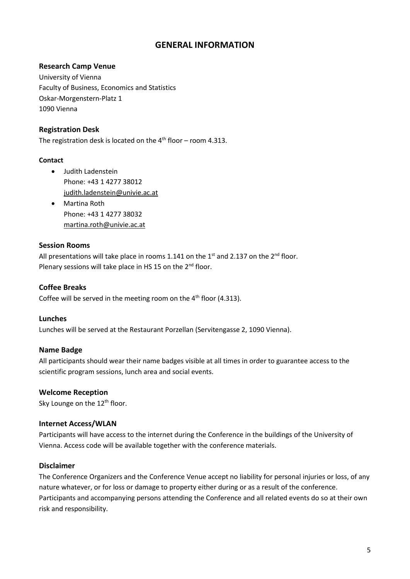### **GENERAL INFORMATION**

### **Research Camp Venue**

University of Vienna Faculty of Business, Economics and Statistics Oskar-Morgenstern-Platz 1 1090 Vienna

### **Registration Desk**

The registration desk is located on the  $4<sup>th</sup>$  floor – room 4.313.

### **Contact**

- Judith Ladenstein Phone: +43 1 4277 38012 [judith.ladenstein@univie.ac.at](mailto:judith.ladenstein@univie.ac.at)
- Martina Roth Phone: +43 1 4277 38032 [martina.roth@univie.ac.at](mailto:martina.roth@univie.ac.at)

### **Session Rooms**

All presentations will take place in rooms 1.141 on the 1st and 2.137 on the 2<sup>nd</sup> floor. Plenary sessions will take place in HS 15 on the 2<sup>nd</sup> floor.

### **Coffee Breaks**

Coffee will be served in the meeting room on the  $4<sup>th</sup>$  floor (4.313).

### **Lunches**

Lunches will be served at the Restaurant Porzellan (Servitengasse 2, 1090 Vienna).

### **Name Badge**

All participants should wear their name badges visible at all times in order to guarantee access to the scientific program sessions, lunch area and social events.

### **Welcome Reception**

Sky Lounge on the 12<sup>th</sup> floor.

### **Internet Access/WLAN**

Participants will have access to the internet during the Conference in the buildings of the University of Vienna. Access code will be available together with the conference materials.

### **Disclaimer**

The Conference Organizers and the Conference Venue accept no liability for personal injuries or loss, of any nature whatever, or for loss or damage to property either during or as a result of the conference. Participants and accompanying persons attending the Conference and all related events do so at their own risk and responsibility.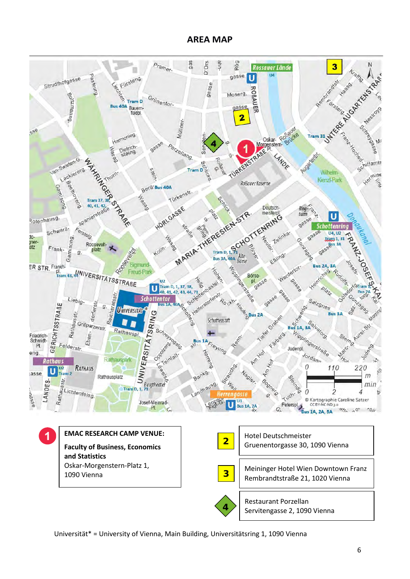### **AREA MAP**



Universität\* = University of Vienna, Main Building, Universitätsring 1, 1090 Vienna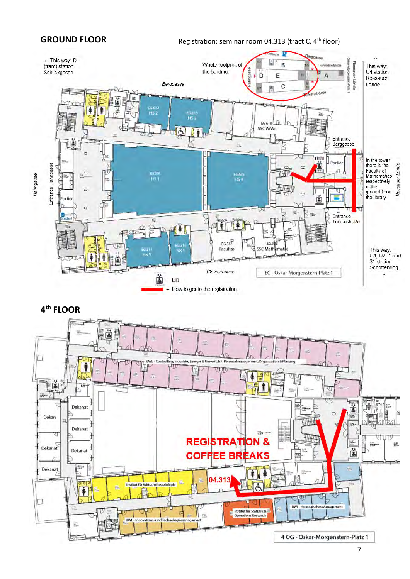

7

### **GROUND FLOOR**

Registration: seminar room 04.313 (tract C, 4<sup>th</sup> floor)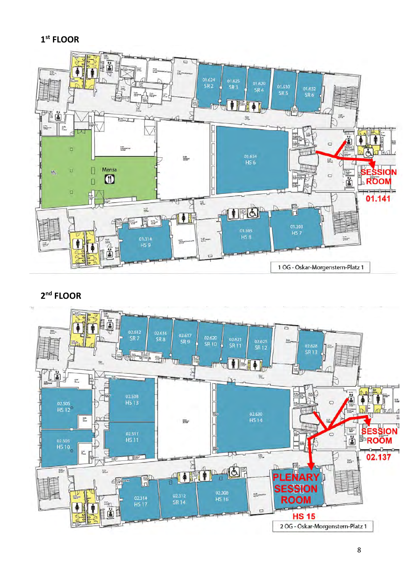

8

 **2nd FLOOR**



 **1st FLOOR**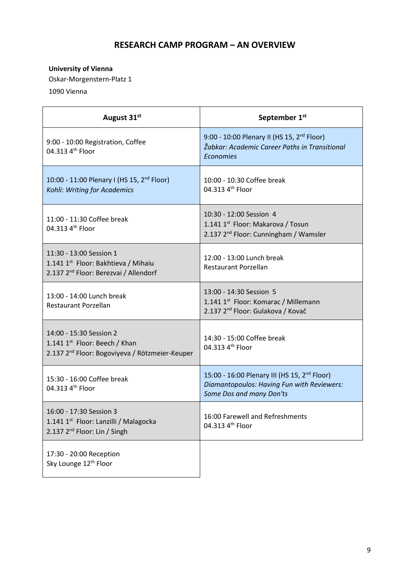# **RESEARCH CAMP PROGRAM – AN OVERVIEW**

### **University of Vienna**

Oskar-Morgenstern-Platz 1

1090 Vienna

| August 31st                                                                                                                        | September 1st                                                                                                                      |
|------------------------------------------------------------------------------------------------------------------------------------|------------------------------------------------------------------------------------------------------------------------------------|
| 9:00 - 10:00 Registration, Coffee<br>04.313 4th Floor                                                                              | 9:00 - 10:00 Plenary II (HS 15, 2 <sup>nd</sup> Floor)<br>Žabkar: Academic Career Paths in Transitional<br><b>Economies</b>        |
| 10:00 - 11:00 Plenary I (HS 15, 2 <sup>nd</sup> Floor)<br>Kohli: Writing for Academics                                             | 10:00 - 10:30 Coffee break<br>04.313 4th Floor                                                                                     |
| 11:00 - 11:30 Coffee break<br>04.313 4th Floor                                                                                     | 10:30 - 12:00 Session 4<br>1.141 1st Floor: Makarova / Tosun<br>2.137 2 <sup>nd</sup> Floor: Cunningham / Wamsler                  |
| 11:30 - 13:00 Session 1<br>1.141 1 <sup>st</sup> Floor: Bakhtieva / Mihaiu<br>2.137 2 <sup>nd</sup> Floor: Berezvai / Allendorf    | 12:00 - 13:00 Lunch break<br><b>Restaurant Porzellan</b>                                                                           |
| 13:00 - 14:00 Lunch break<br>Restaurant Porzellan                                                                                  | 13:00 - 14:30 Session 5<br>1.141 1 <sup>st</sup> Floor: Komarac / Millemann<br>2.137 2 <sup>nd</sup> Floor: Gulakova / Kovač       |
| 14:00 - 15:30 Session 2<br>1.141 1 <sup>st</sup> Floor: Beech / Khan<br>2.137 2 <sup>nd</sup> Floor: Bogoviyeva / Rötzmeier-Keuper | 14:30 - 15:00 Coffee break<br>04.313 4th Floor                                                                                     |
| 15:30 - 16:00 Coffee break<br>04.313 4th Floor                                                                                     | 15:00 - 16:00 Plenary III (HS 15, 2 <sup>nd</sup> Floor)<br>Diamantopoulos: Having Fun with Reviewers:<br>Some Dos and many Don'ts |
| 16:00 - 17:30 Session 3<br>1.141 1 <sup>st</sup> Floor: Lanzilli / Malagocka<br>2.137 2 <sup>nd</sup> Floor: Lin / Singh           | 16:00 Farewell and Refreshments<br>04.313 4th Floor                                                                                |
| 17:30 - 20:00 Reception<br>Sky Lounge 12 <sup>th</sup> Floor                                                                       |                                                                                                                                    |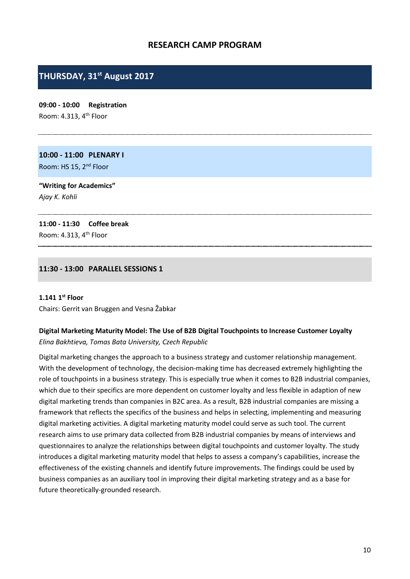### **RESEARCH CAMP PROGRAM**

# **THURSDAY, 31st August 2017**

**09:00 - 10:00 Registration**  Room: 4.313, 4th Floor

**10:00 - 11:00 PLENARY I** Room: HS 15, 2nd Floor

**"Writing for Academics"** *Ajay K. Kohli*

**11:00 - 11:30 Coffee break**

Room:  $4.313$ ,  $4<sup>th</sup>$  Floor

#### **11:30 - 13:00 PARALLEL SESSIONS 1**

#### **1.141 1st Floor**

Chairs: Gerrit van Bruggen and Vesna Žabkar

### **Digital Marketing Maturity Model: The Use of B2B Digital Touchpoints to Increase Customer Loyalty** *Elina Bakhtieva, Tomas Bata University, Czech Republic*

Digital marketing changes the approach to a business strategy and customer relationship management. With the development of technology, the decision-making time has decreased extremely highlighting the role of touchpoints in a business strategy. This is especially true when it comes to B2B industrial companies, which due to their specifics are more dependent on customer loyalty and less flexible in adaption of new digital marketing trends than companies in B2C area. As a result, B2B industrial companies are missing a framework that reflects the specifics of the business and helps in selecting, implementing and measuring digital marketing activities. A digital marketing maturity model could serve as such tool. The current research aims to use primary data collected from B2B industrial companies by means of interviews and questionnaires to analyze the relationships between digital touchpoints and customer loyalty. The study introduces a digital marketing maturity model that helps to assess a company's capabilities, increase the effectiveness of the existing channels and identify future improvements. The findings could be used by business companies as an auxiliary tool in improving their digital marketing strategy and as a base for future theoretically-grounded research.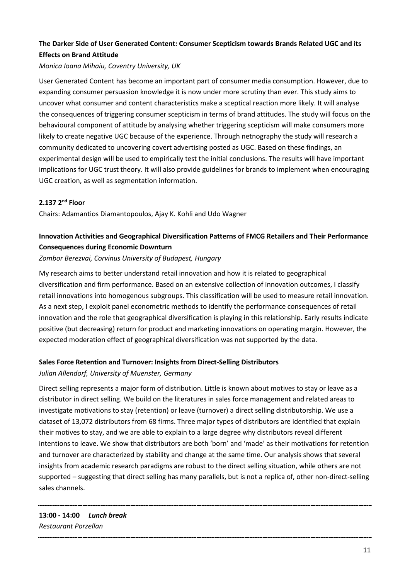### **The Darker Side of User Generated Content: Consumer Scepticism towards Brands Related UGC and its Effects on Brand Attitude**

### *Monica Ioana Mihaiu, Coventry University, UK*

User Generated Content has become an important part of consumer media consumption. However, due to expanding consumer persuasion knowledge it is now under more scrutiny than ever. This study aims to uncover what consumer and content characteristics make a sceptical reaction more likely. It will analyse the consequences of triggering consumer scepticism in terms of brand attitudes. The study will focus on the behavioural component of attitude by analysing whether triggering scepticism will make consumers more likely to create negative UGC because of the experience. Through netnography the study will research a community dedicated to uncovering covert advertising posted as UGC. Based on these findings, an experimental design will be used to empirically test the initial conclusions. The results will have important implications for UGC trust theory. It will also provide guidelines for brands to implement when encouraging UGC creation, as well as segmentation information.

### **2.137 2nd Floor**

Chairs: Adamantios Diamantopoulos, Ajay K. Kohli and Udo Wagner

### **Innovation Activities and Geographical Diversification Patterns of FMCG Retailers and Their Performance Consequences during Economic Downturn**

*Zombor Berezvai, Corvinus University of Budapest, Hungary*

My research aims to better understand retail innovation and how it is related to geographical diversification and firm performance. Based on an extensive collection of innovation outcomes, I classify retail innovations into homogenous subgroups. This classification will be used to measure retail innovation. As a next step, I exploit panel econometric methods to identify the performance consequences of retail innovation and the role that geographical diversification is playing in this relationship. Early results indicate positive (but decreasing) return for product and marketing innovations on operating margin. However, the expected moderation effect of geographical diversification was not supported by the data.

### **Sales Force Retention and Turnover: Insights from Direct-Selling Distributors**

### *Julian Allendorf, University of Muenster, Germany*

Direct selling represents a major form of distribution. Little is known about motives to stay or leave as a distributor in direct selling. We build on the literatures in sales force management and related areas to investigate motivations to stay (retention) or leave (turnover) a direct selling distributorship. We use a dataset of 13,072 distributors from 68 firms. Three major types of distributors are identified that explain their motives to stay, and we are able to explain to a large degree why distributors reveal different intentions to leave. We show that distributors are both 'born' and 'made' as their motivations for retention and turnover are characterized by stability and change at the same time. Our analysis shows that several insights from academic research paradigms are robust to the direct selling situation, while others are not supported – suggesting that direct selling has many parallels, but is not a replica of, other non-direct-selling sales channels.

**13:00 - 14:00** *Lunch break Restaurant Porzellan*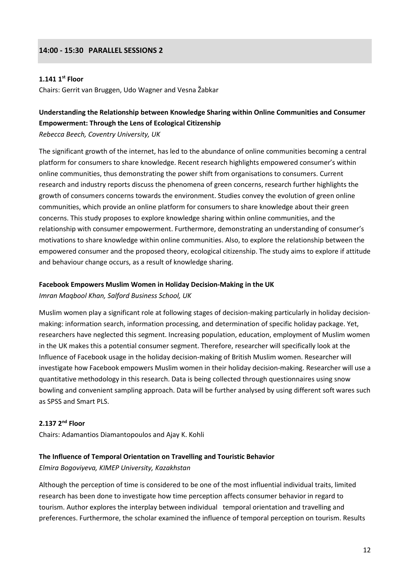### **14:00 - 15:30 PARALLEL SESSIONS 2**

#### **1.141 1st Floor**

Chairs: Gerrit van Bruggen, Udo Wagner and Vesna Žabkar

### **Understanding the Relationship between Knowledge Sharing within Online Communities and Consumer Empowerment: Through the Lens of Ecological Citizenship**

*Rebecca Beech, Coventry University, UK* 

The significant growth of the internet, has led to the abundance of online communities becoming a central platform for consumers to share knowledge. Recent research highlights empowered consumer's within online communities, thus demonstrating the power shift from organisations to consumers. Current research and industry reports discuss the phenomena of green concerns, research further highlights the growth of consumers concerns towards the environment. Studies convey the evolution of green online communities, which provide an online platform for consumers to share knowledge about their green concerns. This study proposes to explore knowledge sharing within online communities, and the relationship with consumer empowerment. Furthermore, demonstrating an understanding of consumer's motivations to share knowledge within online communities. Also, to explore the relationship between the empowered consumer and the proposed theory, ecological citizenship. The study aims to explore if attitude and behaviour change occurs, as a result of knowledge sharing.

#### **Facebook Empowers Muslim Women in Holiday Decision-Making in the UK**

*Imran Maqbool Khan, Salford Business School, UK*

Muslim women play a significant role at following stages of decision-making particularly in holiday decisionmaking: information search, information processing, and determination of specific holiday package. Yet, researchers have neglected this segment. Increasing population, education, employment of Muslim women in the UK makes this a potential consumer segment. Therefore, researcher will specifically look at the Influence of Facebook usage in the holiday decision-making of British Muslim women. Researcher will investigate how Facebook empowers Muslim women in their holiday decision-making. Researcher will use a quantitative methodology in this research. Data is being collected through questionnaires using snow bowling and convenient sampling approach. Data will be further analysed by using different soft wares such as SPSS and Smart PLS.

#### **2.137 2nd Floor**

Chairs: Adamantios Diamantopoulos and Ajay K. Kohli

#### **The Influence of Temporal Orientation on Travelling and Touristic Behavior**

#### *Elmira Bogoviyeva, KIMEP University, Kazakhstan*

Although the perception of time is considered to be one of the most influential individual traits, limited research has been done to investigate how time perception affects consumer behavior in regard to tourism. Author explores the interplay between individual temporal orientation and travelling and preferences. Furthermore, the scholar examined the influence of temporal perception on tourism. Results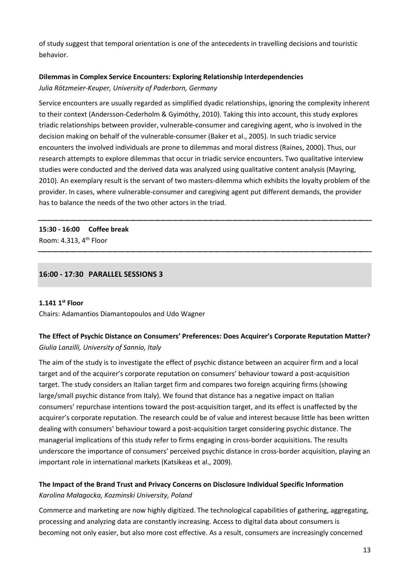of study suggest that temporal orientation is one of the antecedents in travelling decisions and touristic behavior.

### **Dilemmas in Complex Service Encounters: Exploring Relationship Interdependencies**  *Julia Rötzmeier-Keuper, University of Paderborn, Germany*

Service encounters are usually regarded as simplified dyadic relationships, ignoring the complexity inherent to their context (Andersson-Cederholm & Gyimóthy, 2010). Taking this into account, this study explores triadic relationships between provider, vulnerable-consumer and caregiving agent, who is involved in the decision making on behalf of the vulnerable-consumer (Baker et al., 2005). In such triadic service encounters the involved individuals are prone to dilemmas and moral distress (Raines, 2000). Thus, our research attempts to explore dilemmas that occur in triadic service encounters. Two qualitative interview studies were conducted and the derived data was analyzed using qualitative content analysis (Mayring, 2010). An exemplary result is the servant of two masters-dilemma which exhibits the loyalty problem of the provider. In cases, where vulnerable-consumer and caregiving agent put different demands, the provider has to balance the needs of the two other actors in the triad.

**15:30 - 16:00 Coffee break** Room: 4.313, 4th Floor

### **16:00 - 17:30 PARALLEL SESSIONS 3**

#### **1.141 1st Floor**

Chairs: Adamantios Diamantopoulos and Udo Wagner

### **The Effect of Psychic Distance on Consumers' Preferences: Does Acquirer's Corporate Reputation Matter?** *Giulia Lanzilli, University of Sannio, Italy*

The aim of the study is to investigate the effect of psychic distance between an acquirer firm and a local target and of the acquirer's corporate reputation on consumers' behaviour toward a post-acquisition target. The study considers an Italian target firm and compares two foreign acquiring firms (showing large/small psychic distance from Italy). We found that distance has a negative impact on Italian consumers' repurchase intentions toward the post-acquisition target, and its effect is unaffected by the acquirer's corporate reputation. The research could be of value and interest because little has been written dealing with consumers' behaviour toward a post-acquisition target considering psychic distance. The managerial implications of this study refer to firms engaging in cross-border acquisitions. The results underscore the importance of consumers' perceived psychic distance in cross-border acquisition, playing an important role in international markets (Katsikeas et al., 2009).

### **The Impact of the Brand Trust and Privacy Concerns on Disclosure Individual Specific Information** *Karolina Małagocka, Kozminski University, Poland*

Commerce and marketing are now highly digitized. The technological capabilities of gathering, aggregating, processing and analyzing data are constantly increasing. Access to digital data about consumers is becoming not only easier, but also more cost effective. As a result, consumers are increasingly concerned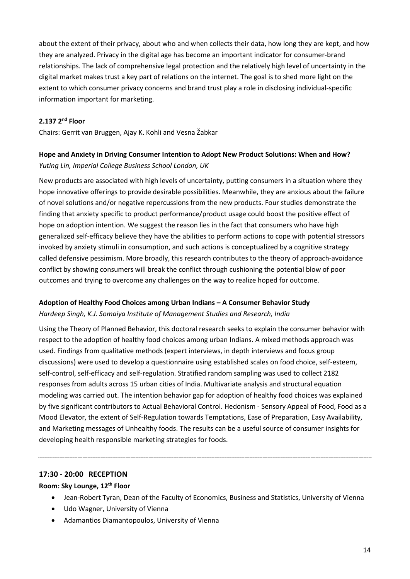about the extent of their privacy, about who and when collects their data, how long they are kept, and how they are analyzed. Privacy in the digital age has become an important indicator for consumer-brand relationships. The lack of comprehensive legal protection and the relatively high level of uncertainty in the digital market makes trust a key part of relations on the internet. The goal is to shed more light on the extent to which consumer privacy concerns and brand trust play a role in disclosing individual-specific information important for marketing.

### **2.137 2nd Floor**

Chairs: Gerrit van Bruggen, Ajay K. Kohli and Vesna Žabkar

### **Hope and Anxiety in Driving Consumer Intention to Adopt New Product Solutions: When and How?** *Yuting Lin, Imperial College Business School London, UK*

New products are associated with high levels of uncertainty, putting consumers in a situation where they hope innovative offerings to provide desirable possibilities. Meanwhile, they are anxious about the failure of novel solutions and/or negative repercussions from the new products. Four studies demonstrate the finding that anxiety specific to product performance/product usage could boost the positive effect of hope on adoption intention. We suggest the reason lies in the fact that consumers who have high generalized self-efficacy believe they have the abilities to perform actions to cope with potential stressors invoked by anxiety stimuli in consumption, and such actions is conceptualized by a cognitive strategy called defensive pessimism. More broadly, this research contributes to the theory of approach-avoidance conflict by showing consumers will break the conflict through cushioning the potential blow of poor outcomes and trying to overcome any challenges on the way to realize hoped for outcome.

### **Adoption of Healthy Food Choices among Urban Indians – A Consumer Behavior Study**

#### *Hardeep Singh, K.J. Somaiya Institute of Management Studies and Research, India*

Using the Theory of Planned Behavior, this doctoral research seeks to explain the consumer behavior with respect to the adoption of healthy food choices among urban Indians. A mixed methods approach was used. Findings from qualitative methods (expert interviews, in depth interviews and focus group discussions) were used to develop a questionnaire using established scales on food choice, self-esteem, self-control, self-efficacy and self-regulation. Stratified random sampling was used to collect 2182 responses from adults across 15 urban cities of India. Multivariate analysis and structural equation modeling was carried out. The intention behavior gap for adoption of healthy food choices was explained by five significant contributors to Actual Behavioral Control. Hedonism - Sensory Appeal of Food, Food as a Mood Elevator, the extent of Self-Regulation towards Temptations, Ease of Preparation, Easy Availability, and Marketing messages of Unhealthy foods. The results can be a useful source of consumer insights for developing health responsible marketing strategies for foods.

### **17:30 - 20:00 RECEPTION**

### **Room: Sky Lounge, 12th Floor**

- Jean-Robert Tyran, Dean of the Faculty of Economics, Business and Statistics, University of Vienna
- Udo Wagner, University of Vienna
- Adamantios Diamantopoulos, University of Vienna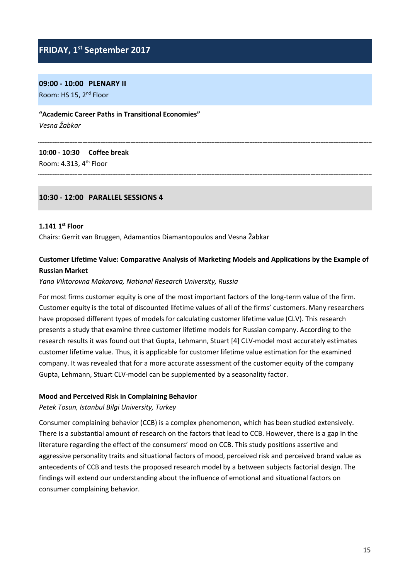# **FRIDAY, 1st September 2017**

# **09:00 - 10:00 PLENARY II**

Room: HS 15, 2nd Floor

**"Academic Career Paths in Transitional Economies"**  *Vesna Žabkar* 

### **10:00 - 10:30 Coffee break**

Room: 4.313, 4th Floor

### **10:30 - 12:00 PARALLEL SESSIONS 4**

#### **1.141 1st Floor**

Chairs: Gerrit van Bruggen, Adamantios Diamantopoulos and Vesna Žabkar

### **Customer Lifetime Value: Comparative Analysis of Marketing Models and Applications by the Example of Russian Market**

#### *Yana Viktorovna Makarova, National Research University, Russia*

For most firms customer equity is one of the most important factors of the long-term value of the firm. Customer equity is the total of discounted lifetime values of all of the firms' customers. Many researchers have proposed different types of models for calculating customer lifetime value (CLV). This research presents a study that examine three customer lifetime models for Russian company. According to the research results it was found out that Gupta, Lehmann, Stuart [4] CLV-model most accurately estimates customer lifetime value. Thus, it is applicable for customer lifetime value estimation for the examined company. It was revealed that for a more accurate assessment of the customer equity of the company Gupta, Lehmann, Stuart CLV-model can be supplemented by a seasonality factor.

#### **Mood and Perceived Risk in Complaining Behavior**

#### *Petek Tosun, Istanbul Bilgi University, Turkey*

Consumer complaining behavior (CCB) is a complex phenomenon, which has been studied extensively. There is a substantial amount of research on the factors that lead to CCB. However, there is a gap in the literature regarding the effect of the consumers' mood on CCB. This study positions assertive and aggressive personality traits and situational factors of mood, perceived risk and perceived brand value as antecedents of CCB and tests the proposed research model by a between subjects factorial design. The findings will extend our understanding about the influence of emotional and situational factors on consumer complaining behavior.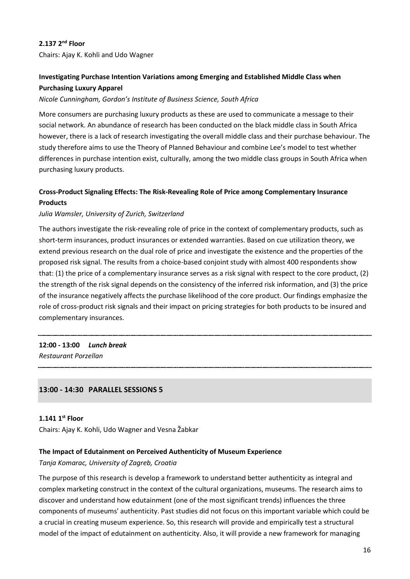### **2.137 2nd Floor**

Chairs: Ajay K. Kohli and Udo Wagner

### **Investigating Purchase Intention Variations among Emerging and Established Middle Class when Purchasing Luxury Apparel**

### *Nicole Cunningham, Gordon's Institute of Business Science, South Africa*

More consumers are purchasing luxury products as these are used to communicate a message to their social network. An abundance of research has been conducted on the black middle class in South Africa however, there is a lack of research investigating the overall middle class and their purchase behaviour. The study therefore aims to use the Theory of Planned Behaviour and combine Lee's model to test whether differences in purchase intention exist, culturally, among the two middle class groups in South Africa when purchasing luxury products.

### **Cross-Product Signaling Effects: The Risk-Revealing Role of Price among Complementary Insurance Products**

### *Julia Wamsler, University of Zurich, Switzerland*

The authors investigate the risk-revealing role of price in the context of complementary products, such as short-term insurances, product insurances or extended warranties. Based on cue utilization theory, we extend previous research on the dual role of price and investigate the existence and the properties of the proposed risk signal. The results from a choice-based conjoint study with almost 400 respondents show that: (1) the price of a complementary insurance serves as a risk signal with respect to the core product, (2) the strength of the risk signal depends on the consistency of the inferred risk information, and (3) the price of the insurance negatively affects the purchase likelihood of the core product. Our findings emphasize the role of cross-product risk signals and their impact on pricing strategies for both products to be insured and complementary insurances.

**12:00 - 13:00** *Lunch break Restaurant Porzellan*

### **13:00 - 14:30 PARALLEL SESSIONS 5**

#### **1.141 1st Floor**

Chairs: Ajay K. Kohli, Udo Wagner and Vesna Žabkar

### **The Impact of Edutainment on Perceived Authenticity of Museum Experience**

#### *Tanja Komarac, University of Zagreb, Croatia*

The purpose of this research is develop a framework to understand better authenticity as integral and complex marketing construct in the context of the cultural organizations, museums. The research aims to discover and understand how edutainment (one of the most significant trends) influences the three components of museums' authenticity. Past studies did not focus on this important variable which could be a crucial in creating museum experience. So, this research will provide and empirically test a structural model of the impact of edutainment on authenticity. Also, it will provide a new framework for managing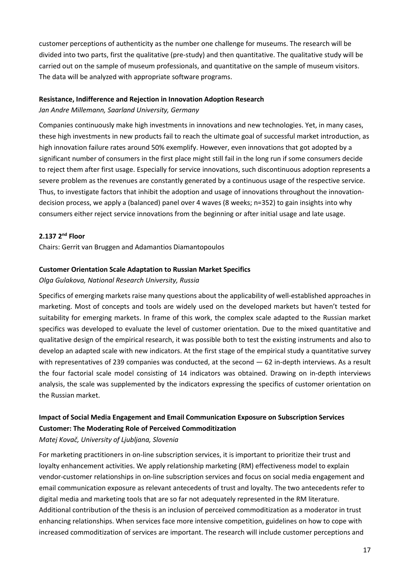customer perceptions of authenticity as the number one challenge for museums. The research will be divided into two parts, first the qualitative (pre-study) and then quantitative. The qualitative study will be carried out on the sample of museum professionals, and quantitative on the sample of museum visitors. The data will be analyzed with appropriate software programs.

### **Resistance, Indifference and Rejection in Innovation Adoption Research**

*Jan Andre Millemann, Saarland University, Germany*

Companies continuously make high investments in innovations and new technologies. Yet, in many cases, these high investments in new products fail to reach the ultimate goal of successful market introduction, as high innovation failure rates around 50% exemplify. However, even innovations that got adopted by a significant number of consumers in the first place might still fail in the long run if some consumers decide to reject them after first usage. Especially for service innovations, such discontinuous adoption represents a severe problem as the revenues are constantly generated by a continuous usage of the respective service. Thus, to investigate factors that inhibit the adoption and usage of innovations throughout the innovationdecision process, we apply a (balanced) panel over 4 waves (8 weeks; n=352) to gain insights into why consumers either reject service innovations from the beginning or after initial usage and late usage.

### **2.137 2nd Floor**

Chairs: Gerrit van Bruggen and Adamantios Diamantopoulos

### **Customer Orientation Scale Adaptation to Russian Market Specifics**

### *Olga Gulakova, National Research University, Russia*

Specifics of emerging markets raise many questions about the applicability of well-established approaches in marketing. Most of concepts and tools are widely used on the developed markets but haven't tested for suitability for emerging markets. In frame of this work, the complex scale adapted to the Russian market specifics was developed to evaluate the level of customer orientation. Due to the mixed quantitative and qualitative design of the empirical research, it was possible both to test the existing instruments and also to develop an adapted scale with new indicators. At the first stage of the empirical study a quantitative survey with representatives of 239 companies was conducted, at the second  $-62$  in-depth interviews. As a result the four factorial scale model consisting of 14 indicators was obtained. Drawing on in-depth interviews analysis, the scale was supplemented by the indicators expressing the specifics of customer orientation on the Russian market.

## **Impact of Social Media Engagement and Email Communication Exposure on Subscription Services Customer: The Moderating Role of Perceived Commoditization**

*Matej Kovač, University of Ljubljana, Slovenia*

For marketing practitioners in on-line subscription services, it is important to prioritize their trust and loyalty enhancement activities. We apply relationship marketing (RM) effectiveness model to explain vendor-customer relationships in on-line subscription services and focus on social media engagement and email communication exposure as relevant antecedents of trust and loyalty. The two antecedents refer to digital media and marketing tools that are so far not adequately represented in the RM literature. Additional contribution of the thesis is an inclusion of perceived commoditization as a moderator in trust enhancing relationships. When services face more intensive competition, guidelines on how to cope with increased commoditization of services are important. The research will include customer perceptions and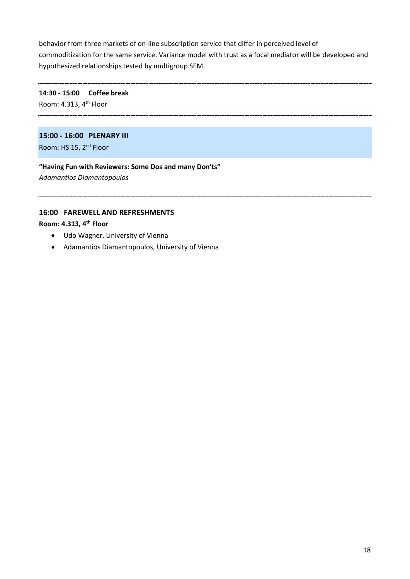behavior from three markets of on-line subscription service that differ in perceived level of commoditization for the same service. Variance model with trust as a focal mediator will be developed and hypothesized relationships tested by multigroup SEM.

**14:30 - 15:00 Coffee break** Room: 4.313, 4<sup>th</sup> Floor

### **15:00 - 16:00 PLENARY III**

Room: HS 15, 2<sup>nd</sup> Floor

**"Having Fun with Reviewers: Some Dos and many Don'ts"** 

*Adamantios Diamantopoulos*

### **16:00 FAREWELL AND REFRESHMENTS**

### **Room: 4.313, 4th Floor**

- Udo Wagner, University of Vienna
- Adamantios Diamantopoulos, University of Vienna